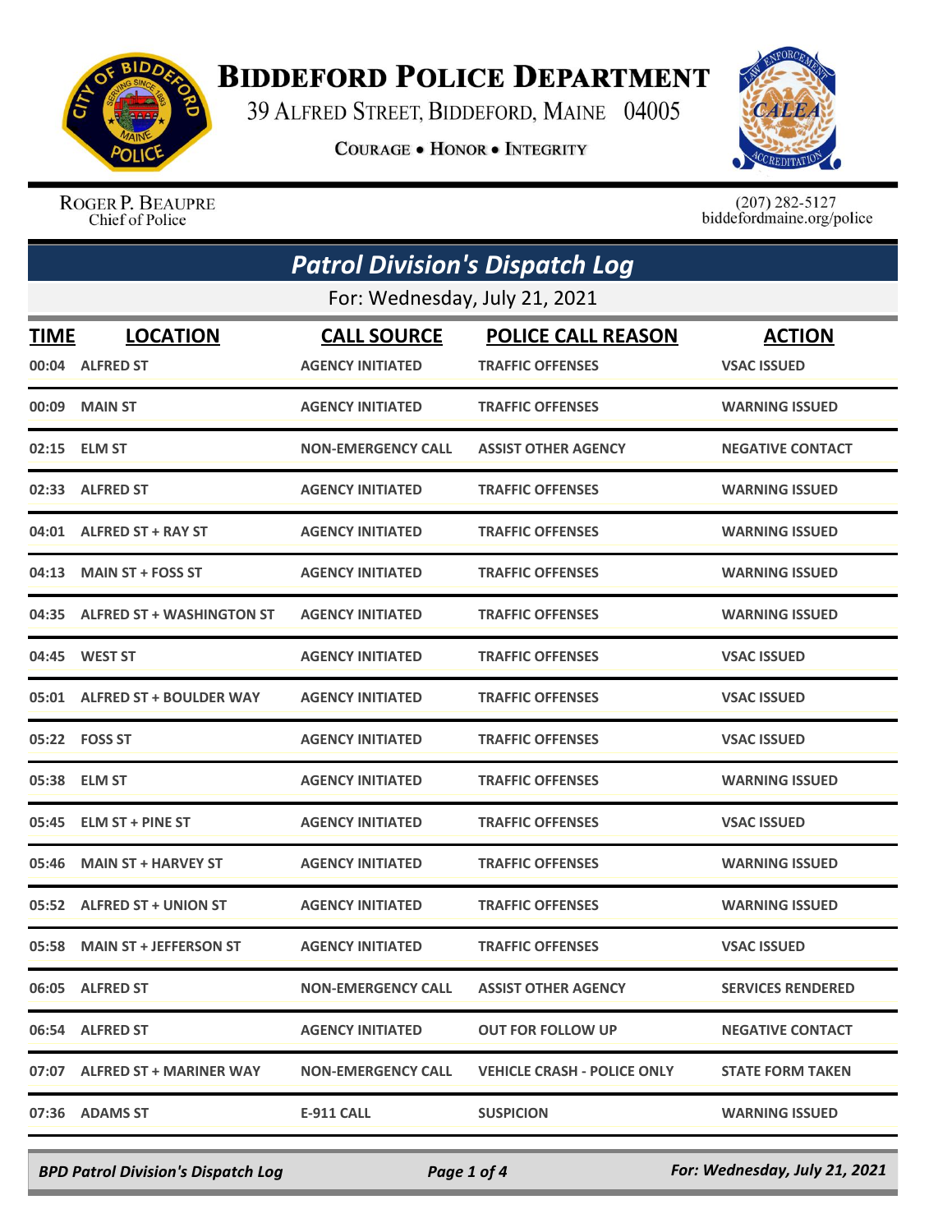

## **BIDDEFORD POLICE DEPARTMENT**

39 ALFRED STREET, BIDDEFORD, MAINE 04005

**COURAGE . HONOR . INTEGRITY** 



ROGER P. BEAUPRE Chief of Police

 $(207)$  282-5127<br>biddefordmaine.org/police

| <b>Patrol Division's Dispatch Log</b> |                                 |                           |                                    |                          |  |
|---------------------------------------|---------------------------------|---------------------------|------------------------------------|--------------------------|--|
|                                       | For: Wednesday, July 21, 2021   |                           |                                    |                          |  |
| <b>TIME</b>                           | <b>LOCATION</b>                 | <b>CALL SOURCE</b>        | <b>POLICE CALL REASON</b>          | <b>ACTION</b>            |  |
|                                       | 00:04 ALFRED ST                 | <b>AGENCY INITIATED</b>   | <b>TRAFFIC OFFENSES</b>            | <b>VSAC ISSUED</b>       |  |
| 00:09                                 | <b>MAIN ST</b>                  | <b>AGENCY INITIATED</b>   | <b>TRAFFIC OFFENSES</b>            | <b>WARNING ISSUED</b>    |  |
|                                       | 02:15 ELM ST                    | <b>NON-EMERGENCY CALL</b> | <b>ASSIST OTHER AGENCY</b>         | <b>NEGATIVE CONTACT</b>  |  |
| 02:33                                 | <b>ALFRED ST</b>                | <b>AGENCY INITIATED</b>   | <b>TRAFFIC OFFENSES</b>            | <b>WARNING ISSUED</b>    |  |
|                                       | 04:01 ALFRED ST + RAY ST        | <b>AGENCY INITIATED</b>   | <b>TRAFFIC OFFENSES</b>            | <b>WARNING ISSUED</b>    |  |
| 04:13                                 | <b>MAIN ST + FOSS ST</b>        | <b>AGENCY INITIATED</b>   | <b>TRAFFIC OFFENSES</b>            | <b>WARNING ISSUED</b>    |  |
|                                       | 04:35 ALFRED ST + WASHINGTON ST | <b>AGENCY INITIATED</b>   | <b>TRAFFIC OFFENSES</b>            | <b>WARNING ISSUED</b>    |  |
| 04:45                                 | <b>WEST ST</b>                  | <b>AGENCY INITIATED</b>   | <b>TRAFFIC OFFENSES</b>            | <b>VSAC ISSUED</b>       |  |
|                                       | 05:01 ALFRED ST + BOULDER WAY   | <b>AGENCY INITIATED</b>   | <b>TRAFFIC OFFENSES</b>            | <b>VSAC ISSUED</b>       |  |
|                                       | 05:22 FOSS ST                   | <b>AGENCY INITIATED</b>   | <b>TRAFFIC OFFENSES</b>            | <b>VSAC ISSUED</b>       |  |
|                                       | 05:38 ELM ST                    | <b>AGENCY INITIATED</b>   | <b>TRAFFIC OFFENSES</b>            | <b>WARNING ISSUED</b>    |  |
| 05:45                                 | <b>ELM ST + PINE ST</b>         | <b>AGENCY INITIATED</b>   | <b>TRAFFIC OFFENSES</b>            | <b>VSAC ISSUED</b>       |  |
| 05:46                                 | <b>MAIN ST + HARVEY ST</b>      | <b>AGENCY INITIATED</b>   | <b>TRAFFIC OFFENSES</b>            | <b>WARNING ISSUED</b>    |  |
|                                       | 05:52 ALFRED ST + UNION ST      | <b>AGENCY INITIATED</b>   | <b>TRAFFIC OFFENSES</b>            | <b>WARNING ISSUED</b>    |  |
|                                       | 05:58 MAIN ST + JEFFERSON ST    | <b>AGENCY INITIATED</b>   | <b>TRAFFIC OFFENSES</b>            | <b>VSAC ISSUED</b>       |  |
|                                       | 06:05 ALFRED ST                 | <b>NON-EMERGENCY CALL</b> | <b>ASSIST OTHER AGENCY</b>         | <b>SERVICES RENDERED</b> |  |
|                                       | 06:54 ALFRED ST                 | <b>AGENCY INITIATED</b>   | <b>OUT FOR FOLLOW UP</b>           | <b>NEGATIVE CONTACT</b>  |  |
|                                       | 07:07 ALFRED ST + MARINER WAY   | <b>NON-EMERGENCY CALL</b> | <b>VEHICLE CRASH - POLICE ONLY</b> | <b>STATE FORM TAKEN</b>  |  |
|                                       | 07:36 ADAMS ST                  | E-911 CALL                | <b>SUSPICION</b>                   | <b>WARNING ISSUED</b>    |  |

*BPD Patrol Division's Dispatch Log Page 1 of 4 For: Wednesday, July 21, 2021*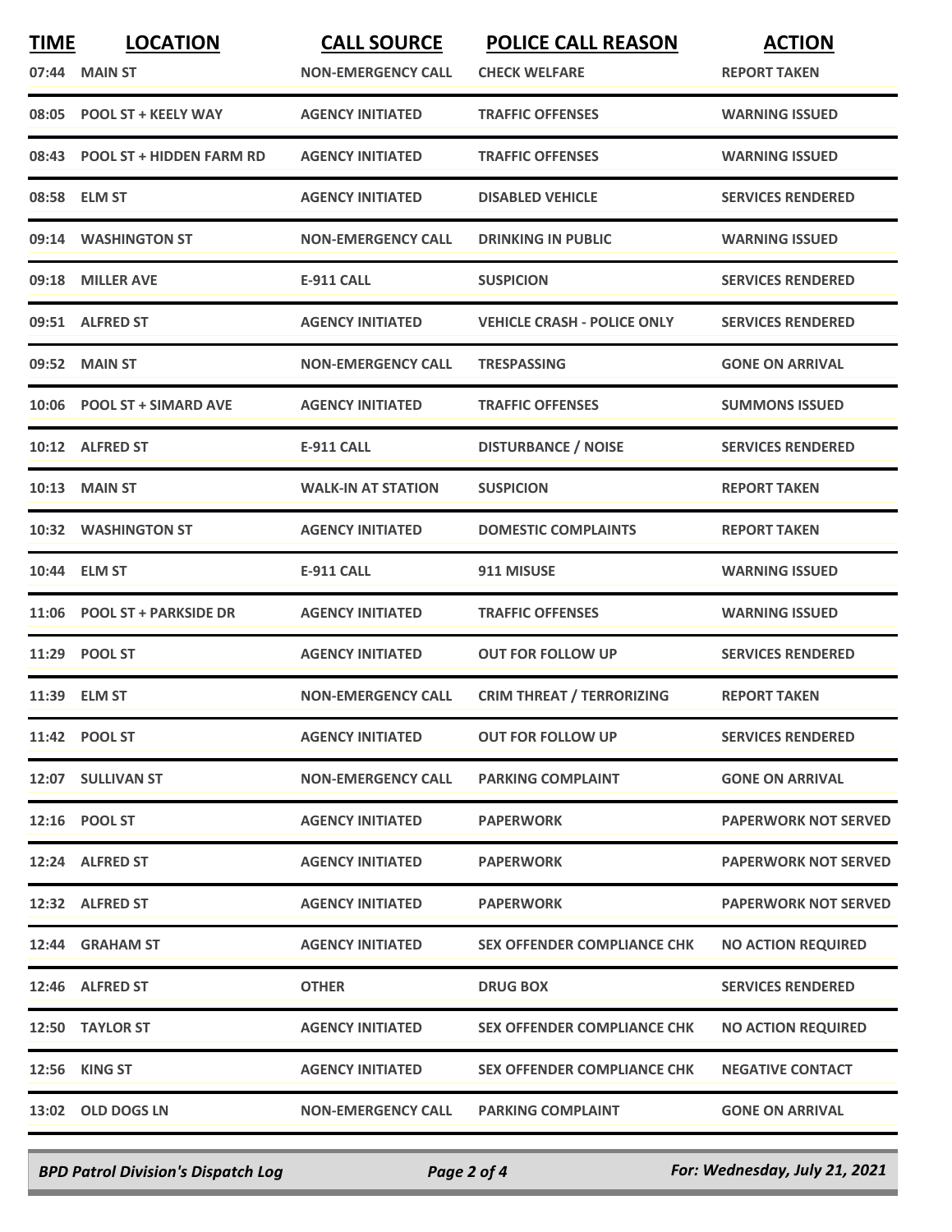| <b>TIME</b> | <b>LOCATION</b><br>07:44 MAIN ST | <b>CALL SOURCE</b><br><b>NON-EMERGENCY CALL</b> | <b>POLICE CALL REASON</b><br><b>CHECK WELFARE</b> | <b>ACTION</b><br><b>REPORT TAKEN</b> |
|-------------|----------------------------------|-------------------------------------------------|---------------------------------------------------|--------------------------------------|
|             | 08:05 POOL ST + KEELY WAY        | <b>AGENCY INITIATED</b>                         | <b>TRAFFIC OFFENSES</b>                           | <b>WARNING ISSUED</b>                |
|             | 08:43 POOL ST + HIDDEN FARM RD   | <b>AGENCY INITIATED</b>                         | <b>TRAFFIC OFFENSES</b>                           | <b>WARNING ISSUED</b>                |
| 08:58       | <b>ELM ST</b>                    | <b>AGENCY INITIATED</b>                         | <b>DISABLED VEHICLE</b>                           | <b>SERVICES RENDERED</b>             |
|             | 09:14 WASHINGTON ST              | <b>NON-EMERGENCY CALL</b>                       | <b>DRINKING IN PUBLIC</b>                         | <b>WARNING ISSUED</b>                |
| 09:18       | <b>MILLER AVE</b>                | <b>E-911 CALL</b>                               | <b>SUSPICION</b>                                  | <b>SERVICES RENDERED</b>             |
|             | 09:51 ALFRED ST                  | <b>AGENCY INITIATED</b>                         | <b>VEHICLE CRASH - POLICE ONLY</b>                | <b>SERVICES RENDERED</b>             |
| 09:52       | <b>MAIN ST</b>                   | <b>NON-EMERGENCY CALL</b>                       | <b>TRESPASSING</b>                                | <b>GONE ON ARRIVAL</b>               |
|             | 10:06 POOL ST + SIMARD AVE       | <b>AGENCY INITIATED</b>                         | <b>TRAFFIC OFFENSES</b>                           | <b>SUMMONS ISSUED</b>                |
|             | 10:12 ALFRED ST                  | <b>E-911 CALL</b>                               | <b>DISTURBANCE / NOISE</b>                        | <b>SERVICES RENDERED</b>             |
|             | 10:13 MAIN ST                    | <b>WALK-IN AT STATION</b>                       | <b>SUSPICION</b>                                  | <b>REPORT TAKEN</b>                  |
|             | 10:32 WASHINGTON ST              | <b>AGENCY INITIATED</b>                         | <b>DOMESTIC COMPLAINTS</b>                        | <b>REPORT TAKEN</b>                  |
| 10:44       | <b>ELM ST</b>                    | <b>E-911 CALL</b>                               | 911 MISUSE                                        | <b>WARNING ISSUED</b>                |
|             | 11:06 POOL ST + PARKSIDE DR      | <b>AGENCY INITIATED</b>                         | <b>TRAFFIC OFFENSES</b>                           | <b>WARNING ISSUED</b>                |
|             | 11:29 POOL ST                    | <b>AGENCY INITIATED</b>                         | <b>OUT FOR FOLLOW UP</b>                          | <b>SERVICES RENDERED</b>             |
|             | 11:39 ELM ST                     | <b>NON-EMERGENCY CALL</b>                       | <b>CRIM THREAT / TERRORIZING</b>                  | <b>REPORT TAKEN</b>                  |
|             | 11:42 POOL ST                    | <b>AGENCY INITIATED</b>                         | <b>OUT FOR FOLLOW UP</b>                          | <b>SERVICES RENDERED</b>             |
|             | 12:07 SULLIVAN ST                | <b>NON-EMERGENCY CALL</b>                       | <b>PARKING COMPLAINT</b>                          | <b>GONE ON ARRIVAL</b>               |
|             | 12:16 POOL ST                    | <b>AGENCY INITIATED</b>                         | <b>PAPERWORK</b>                                  | <b>PAPERWORK NOT SERVED</b>          |
|             | 12:24 ALFRED ST                  | <b>AGENCY INITIATED</b>                         | <b>PAPERWORK</b>                                  | <b>PAPERWORK NOT SERVED</b>          |
|             | 12:32 ALFRED ST                  | <b>AGENCY INITIATED</b>                         | <b>PAPERWORK</b>                                  | <b>PAPERWORK NOT SERVED</b>          |
|             | 12:44 GRAHAM ST                  | <b>AGENCY INITIATED</b>                         | <b>SEX OFFENDER COMPLIANCE CHK</b>                | <b>NO ACTION REQUIRED</b>            |
|             | 12:46 ALFRED ST                  | <b>OTHER</b>                                    | <b>DRUG BOX</b>                                   | <b>SERVICES RENDERED</b>             |
|             | 12:50 TAYLOR ST                  | <b>AGENCY INITIATED</b>                         | <b>SEX OFFENDER COMPLIANCE CHK</b>                | <b>NO ACTION REQUIRED</b>            |
|             | 12:56 KING ST                    | <b>AGENCY INITIATED</b>                         | <b>SEX OFFENDER COMPLIANCE CHK</b>                | <b>NEGATIVE CONTACT</b>              |
|             | 13:02 OLD DOGS LN                | <b>NON-EMERGENCY CALL</b>                       | <b>PARKING COMPLAINT</b>                          | <b>GONE ON ARRIVAL</b>               |
|             |                                  |                                                 |                                                   |                                      |

*BPD Patrol Division's Dispatch Log Page 2 of 4 For: Wednesday, July 21, 2021*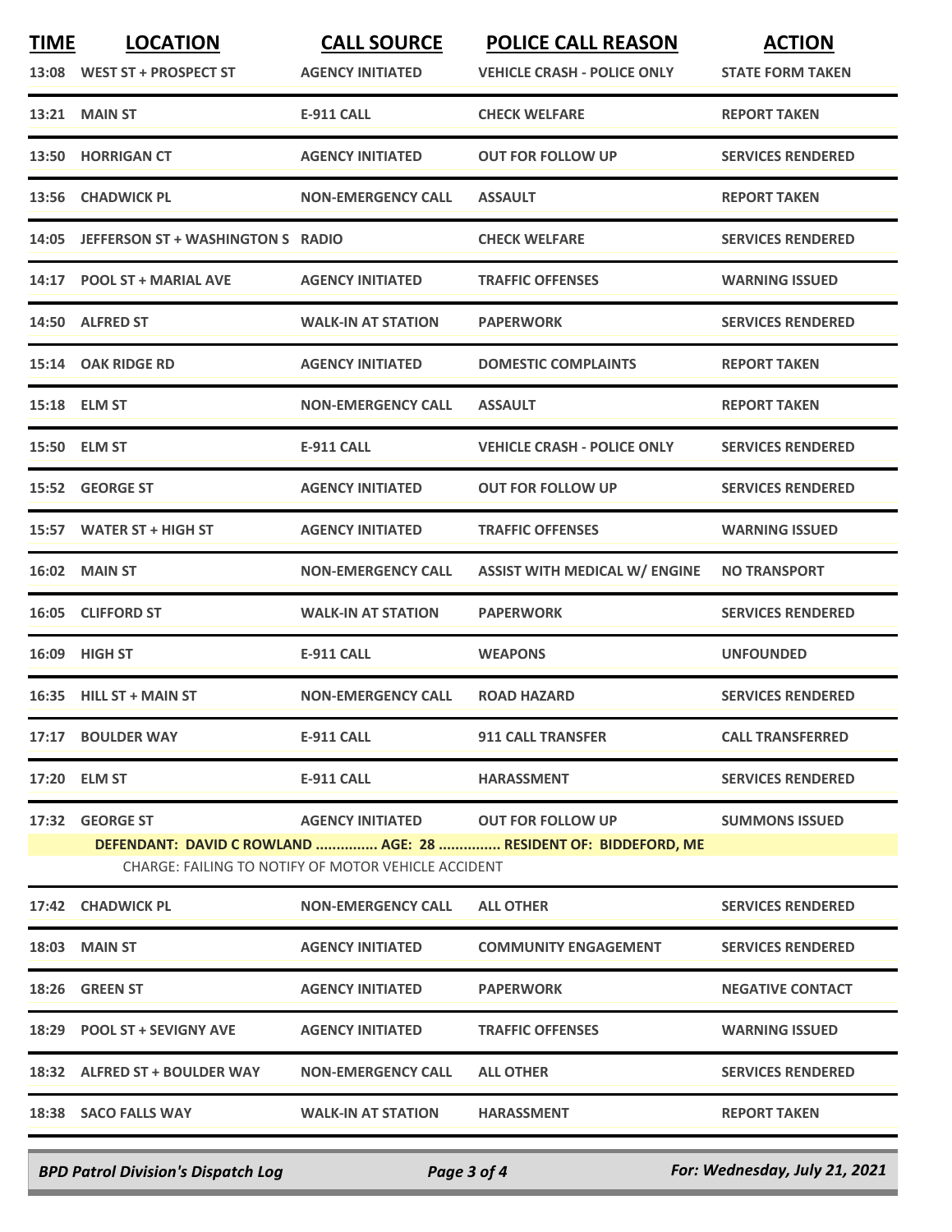| <b>TIME</b> | <b>LOCATION</b><br>13:08 WEST ST + PROSPECT ST | <b>CALL SOURCE</b><br><b>AGENCY INITIATED</b>                                             | <b>POLICE CALL REASON</b><br><b>VEHICLE CRASH - POLICE ONLY</b> | <b>ACTION</b><br><b>STATE FORM TAKEN</b> |
|-------------|------------------------------------------------|-------------------------------------------------------------------------------------------|-----------------------------------------------------------------|------------------------------------------|
|             | <b>13:21 MAIN ST</b>                           | <b>E-911 CALL</b>                                                                         | <b>CHECK WELFARE</b>                                            | <b>REPORT TAKEN</b>                      |
|             | 13:50 HORRIGAN CT                              | <b>AGENCY INITIATED</b>                                                                   | <b>OUT FOR FOLLOW UP</b>                                        | <b>SERVICES RENDERED</b>                 |
| 13:56       | <b>CHADWICK PL</b>                             | <b>NON-EMERGENCY CALL</b>                                                                 | <b>ASSAULT</b>                                                  | <b>REPORT TAKEN</b>                      |
|             | 14:05 JEFFERSON ST + WASHINGTON S RADIO        |                                                                                           | <b>CHECK WELFARE</b>                                            | <b>SERVICES RENDERED</b>                 |
|             | 14:17 POOL ST + MARIAL AVE                     | <b>AGENCY INITIATED</b>                                                                   | <b>TRAFFIC OFFENSES</b>                                         | <b>WARNING ISSUED</b>                    |
|             | 14:50 ALFRED ST                                | <b>WALK-IN AT STATION</b>                                                                 | <b>PAPERWORK</b>                                                | <b>SERVICES RENDERED</b>                 |
|             | 15:14 OAK RIDGE RD                             | <b>AGENCY INITIATED</b>                                                                   | <b>DOMESTIC COMPLAINTS</b>                                      | <b>REPORT TAKEN</b>                      |
|             | 15:18 ELM ST                                   | <b>NON-EMERGENCY CALL</b>                                                                 | <b>ASSAULT</b>                                                  | <b>REPORT TAKEN</b>                      |
|             | 15:50 ELM ST                                   | <b>E-911 CALL</b>                                                                         | <b>VEHICLE CRASH - POLICE ONLY</b>                              | <b>SERVICES RENDERED</b>                 |
|             | 15:52 GEORGE ST                                | <b>AGENCY INITIATED</b>                                                                   | <b>OUT FOR FOLLOW UP</b>                                        | <b>SERVICES RENDERED</b>                 |
|             | 15:57 WATER ST + HIGH ST                       | <b>AGENCY INITIATED</b>                                                                   | <b>TRAFFIC OFFENSES</b>                                         | <b>WARNING ISSUED</b>                    |
|             | 16:02 MAIN ST                                  | <b>NON-EMERGENCY CALL</b>                                                                 | <b>ASSIST WITH MEDICAL W/ ENGINE</b>                            | <b>NO TRANSPORT</b>                      |
|             | 16:05 CLIFFORD ST                              | <b>WALK-IN AT STATION</b>                                                                 | <b>PAPERWORK</b>                                                | <b>SERVICES RENDERED</b>                 |
|             | 16:09 HIGH ST                                  | <b>E-911 CALL</b>                                                                         | <b>WEAPONS</b>                                                  | <b>UNFOUNDED</b>                         |
|             | 16:35 HILL ST + MAIN ST                        | <b>NON-EMERGENCY CALL</b>                                                                 | <b>ROAD HAZARD</b>                                              | <b>SERVICES RENDERED</b>                 |
|             | 17:17 BOULDER WAY                              | <b>E-911 CALL</b>                                                                         | <b>911 CALL TRANSFER</b>                                        | <b>CALL TRANSFERRED</b>                  |
|             | 17:20 ELM ST                                   | E-911 CALL                                                                                | <b>HARASSMENT</b>                                               | <b>SERVICES RENDERED</b>                 |
|             | 17:32 GEORGE ST                                | AGENCY INITIATED OUT FOR FOLLOW UP<br>CHARGE: FAILING TO NOTIFY OF MOTOR VEHICLE ACCIDENT | DEFENDANT: DAVID C ROWLAND  AGE: 28  RESIDENT OF: BIDDEFORD, ME | <b>SUMMONS ISSUED</b>                    |
|             | 17:42 CHADWICK PL                              | <b>NON-EMERGENCY CALL</b>                                                                 | <b>ALL OTHER</b>                                                | <b>SERVICES RENDERED</b>                 |
|             | <b>18:03 MAIN ST</b>                           | <b>AGENCY INITIATED</b>                                                                   | <b>COMMUNITY ENGAGEMENT</b>                                     | <b>SERVICES RENDERED</b>                 |
|             | 18:26 GREEN ST                                 | <b>AGENCY INITIATED</b>                                                                   | <b>PAPERWORK</b>                                                | <b>NEGATIVE CONTACT</b>                  |
|             | 18:29 POOL ST + SEVIGNY AVE                    | <b>AGENCY INITIATED</b>                                                                   | <b>TRAFFIC OFFENSES</b>                                         | <b>WARNING ISSUED</b>                    |
|             | 18:32 ALFRED ST + BOULDER WAY                  | <b>NON-EMERGENCY CALL</b>                                                                 | <b>ALL OTHER</b>                                                | <b>SERVICES RENDERED</b>                 |
|             | 18:38 SACO FALLS WAY                           | <b>WALK-IN AT STATION</b>                                                                 | <b>HARASSMENT</b>                                               | <b>REPORT TAKEN</b>                      |
|             |                                                |                                                                                           |                                                                 |                                          |

*BPD Patrol Division's Dispatch Log Page 3 of 4 For: Wednesday, July 21, 2021*